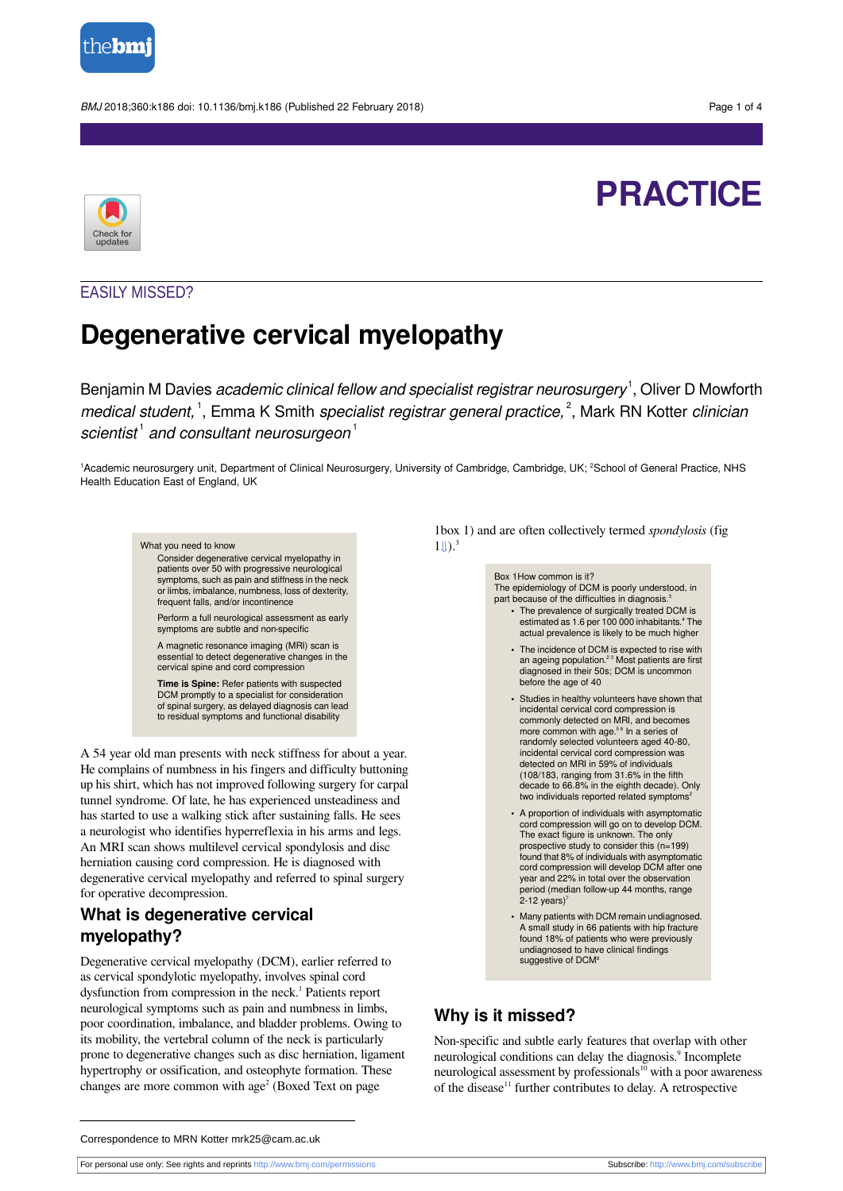

BMJ 2018;360:k186 doi: 10.1136/bmj.k186 (Published 22 February 2018) Page 1 of 4



# **PRACTICE**

## EASILY MISSED?

## **Degenerative cervical myelopathy**

Benjamin M Davies *academic clinical fellow and specialist registrar neurosurgery*  $^1$ , Oliver D Mowforth medical student,<sup>1</sup>, Emma K Smith specialist registrar general practice,<sup>2</sup>, Mark RN Kotter clinician scientist $^1$  and consultant neurosurgeon $^1$ 

<sup>1</sup>Academic neurosurgery unit, Department of Clinical Neurosurgery, University of Cambridge, Cambridge, UK; <sup>2</sup>School of General Practice, NHS Health Education East of England, UK



A 54 year old man presents with neck stiffness for about a year. He complains of numbness in his fingers and difficulty buttoning up his shirt, which has not improved following surgery for carpal tunnel syndrome. Of late, he has experienced unsteadiness and has started to use a walking stick after sustaining falls. He sees a neurologist who identifies hyperreflexia in his arms and legs. An MRI scan shows multilevel cervical spondylosis and disc herniation causing cord compression. He is diagnosed with degenerative cervical myelopathy and referred to spinal surgery for operative decompression.

## **What is degenerative cervical myelopathy?**

Degenerative cervical myelopathy (DCM), earlier referred to as cervical spondylotic myelopathy, involves spinal cord dysfunction from compression in the neck. 1 Patients report neurological symptoms such as pain and numbness in limbs, poor coordination, imbalance, and bladder problems. Owing to its mobility, the vertebral column of the neck is particularly prone to degenerative changes such as disc herniation, ligament hypertrophy or ossification, and osteophyte formation. These changes are more common with age 2 (Boxed Text on page

1box 1) and are often collectively termed *spondylosis* (fig  $1 \downarrow$ ).<sup>3</sup>

> Box 1How common is it? The epidemiology of DCM is poorly understood, in part because of the difficulties in diagnosis.<sup>3</sup>

- **•** The prevalence of surgically treated DCM is estimated as 1.6 per 100 000 inhabitants.<sup>4</sup> The actual prevalence is likely to be much higher
- **•** The incidence of DCM is expected to rise with an ageing population.<sup>23</sup> Most patients are first<br>diagnosed in their 50s; DCM is uncommon before the age of 40
- **•** Studies in healthy volunteers have shown that incidental cervical cord compression is commonly detected on MRI, and becomes more common with age.<sup>56</sup> In a series of randomly selected volunteers aged 40-80, incidental cervical cord compression was detected on MRI in 59% of individuals (108/183, ranging from 31.6% in the fifth decade to 66.8% in the eighth decade). Only two individuals reported related symptoms<sup>2</sup>
- **•** A proportion of individuals with asymptomatic cord compression will go on to develop DCM. The exact figure is unknown. The only prospective study to consider this (n=199) found that 8% of individuals with asymptomatic cord compression will develop DCM after one year and 22% in total over the observation period (median follow-up 44 months, range  $2-12$  years)<sup>7</sup>
- **•** Many patients with DCM remain undiagnosed. A small study in 66 patients with hip fracture found 18% of patients who were previously undiagnosed to have clinical findings suggestive of DCM<sup>8</sup>

## **Why is it missed?**

Non-specific and subtle early features that overlap with other neurological conditions can delay the diagnosis.<sup>9</sup> Incomplete neurological assessment by professionals<sup>10</sup> with a poor awareness of the disease<sup>11</sup> further contributes to delay. A retrospective

Correspondence to MRN Kotter mrk25@cam.ac.uk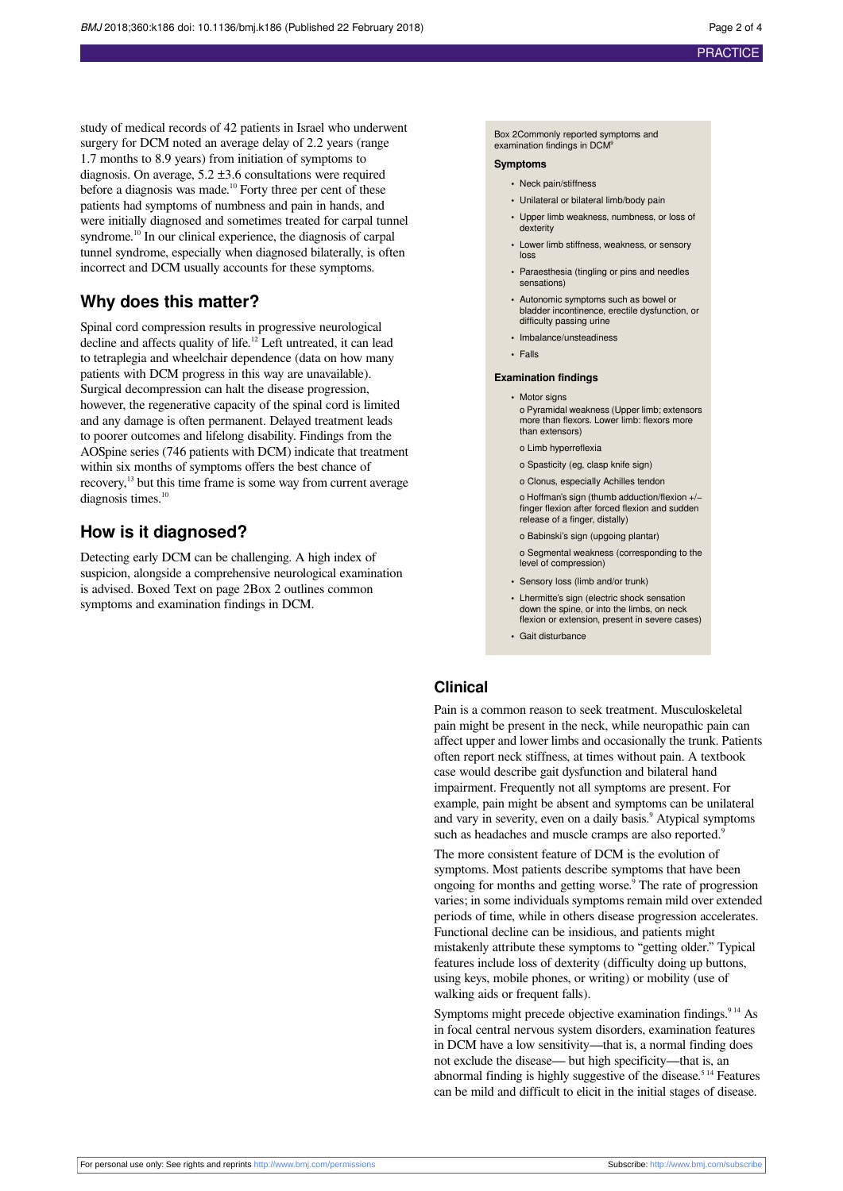study of medical records of 42 patients in Israel who underwent surgery for DCM noted an average delay of 2.2 years (range 1.7 months to 8.9 years) from initiation of symptoms to diagnosis. On average, 5.2 ±3.6 consultations were required before a diagnosis was made. <sup>10</sup> Forty three per cent of these patients had symptoms of numbness and pain in hands, and were initially diagnosed and sometimes treated for carpal tunnel syndrome.<sup>10</sup> In our clinical experience, the diagnosis of carpal tunnel syndrome, especially when diagnosed bilaterally, is often incorrect and DCM usually accounts for these symptoms.

## **Why does this matter?**

Spinal cord compression results in progressive neurological decline and affects quality of life. <sup>12</sup> Left untreated, it can lead to tetraplegia and wheelchair dependence (data on how many patients with DCM progress in this way are unavailable). Surgical decompression can halt the disease progression, however, the regenerative capacity of the spinal cord is limited and any damage is often permanent. Delayed treatment leads to poorer outcomes and lifelong disability. Findings from the AOSpine series (746 patients with DCM) indicate that treatment within six months of symptoms offers the best chance of recovery,<sup>13</sup> but this time frame is some way from current average diagnosis times.<sup>10</sup>

## **How is it diagnosed?**

Detecting early DCM can be challenging. A high index of suspicion, alongside a comprehensive neurological examination is advised. Boxed Text on page 2Box 2 outlines common symptoms and examination findings in DCM.

Box 2Commonly reported symptoms and examination findings in DCM<sup>9</sup>

#### **Symptoms**

- **•** Neck pain/stiffness
- **•** Unilateral or bilateral limb/body pain
- **•** Upper limb weakness, numbness, or loss of dexterity
- **•** Lower limb stiffness, weakness, or sensory loss
- **•** Paraesthesia (tingling or pins and needles sensations)
- **•** Autonomic symptoms such as bowel or bladder incontinence, erectile dysfunction, or difficulty passing urine
- **•** Imbalance/unsteadiness
- **•** Falls

#### **Examination findings**

**•** Motor signs

o Pyramidal weakness (Upper limb; extensors more than flexors. Lower limb: flexors more than extensors)

- o Limb hyperreflexia
- o Spasticity (eg, clasp knife sign)

o Clonus, especially Achilles tendon

o Hoffman's sign (thumb adduction/flexion +/− finger flexion after forced flexion and sudden release of a finger, distally)

o Babinski's sign (upgoing plantar) o Segmental weakness (corresponding to the level of compression)

- **•** Sensory loss (limb and/or trunk)
- **•** Lhermitte's sign (electric shock sensation down the spine, or into the limbs, on neck flexion or extension, present in severe cases)
- **•** Gait disturbance

### **Clinical**

Pain is a common reason to seek treatment. Musculoskeletal pain might be present in the neck, while neuropathic pain can affect upper and lower limbs and occasionally the trunk. Patients often report neck stiffness, at times without pain. A textbook case would describe gait dysfunction and bilateral hand impairment. Frequently not all symptoms are present. For example, pain might be absent and symptoms can be unilateral and vary in severity, even on a daily basis. 9 Atypical symptoms such as headaches and muscle cramps are also reported.<sup>9</sup>

The more consistent feature of DCM is the evolution of symptoms. Most patients describe symptoms that have been ongoing for months and getting worse. 9 The rate of progression varies; in some individuals symptoms remain mild over extended periods of time, while in others disease progression accelerates. Functional decline can be insidious, and patients might mistakenly attribute these symptoms to "getting older." Typical features include loss of dexterity (difficulty doing up buttons, using keys, mobile phones, or writing) or mobility (use of walking aids or frequent falls).

Symptoms might precede objective examination findings.<sup>914</sup> As in focal central nervous system disorders, examination features in DCM have a low sensitivity—that is, a normal finding does not exclude the disease— but high specificity—that is, an abnormal finding is highly suggestive of the disease. 5 14 Features can be mild and difficult to elicit in the initial stages of disease.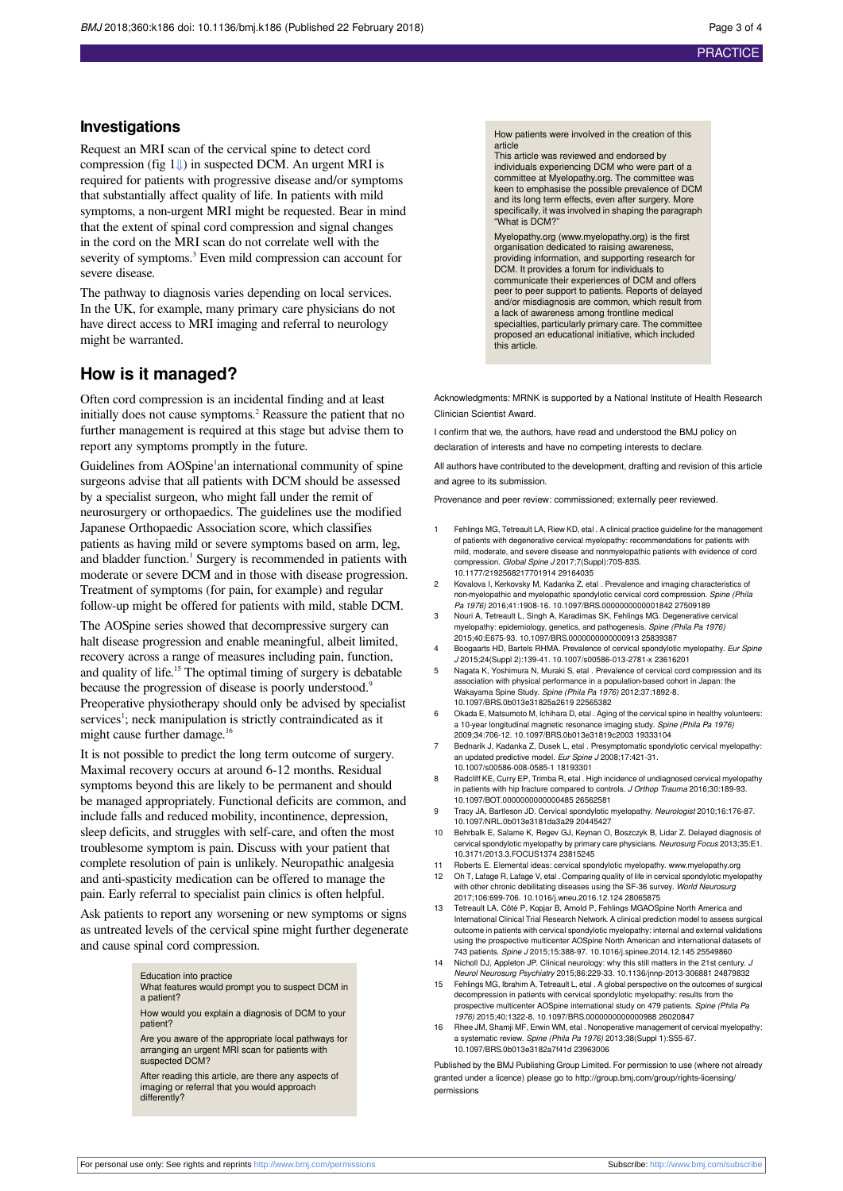#### **PRACTICE**

#### **Investigations**

Request an MRI scan of the cervical spine to detect cord compression (fig  $1 \downarrow$ ) in suspected DCM. An urgent MRI is required for patients with progressive disease and/or symptoms that substantially affect quality of life. In patients with mild symptoms, a non-urgent MRI might be requested. Bear in mind that the extent of spinal cord compression and signal changes in the cord on the MRI scan do not correlate well with the severity of symptoms.<sup>3</sup> Even mild compression can account for severe disease.

The pathway to diagnosis varies depending on local services. In the UK, for example, many primary care physicians do not have direct access to MRI imaging and referral to neurology might be warranted.

#### **How is it managed?**

Often cord compression is an incidental finding and at least initially does not cause symptoms. 2 Reassure the patient that no further management is required at this stage but advise them to report any symptoms promptly in the future.

Guidelines from AOSpine<sup>1</sup>an international community of spine surgeons advise that all patients with DCM should be assessed by a specialist surgeon, who might fall under the remit of neurosurgery or orthopaedics. The guidelines use the modified Japanese Orthopaedic Association score, which classifies patients as having mild or severe symptoms based on arm, leg, and bladder function. 1 Surgery is recommended in patients with moderate or severe DCM and in those with disease progression. Treatment of symptoms (for pain, for example) and regular follow-up might be offered for patients with mild, stable DCM.

The AOSpine series showed that decompressive surgery can halt disease progression and enable meaningful, albeit limited, recovery across a range of measures including pain, function, and quality of life. <sup>15</sup> The optimal timing of surgery is debatable because the progression of disease is poorly understood.<sup>9</sup> Preoperative physiotherapy should only be advised by specialist services<sup>1</sup>; neck manipulation is strictly contraindicated as it might cause further damage.<sup>16</sup>

It is not possible to predict the long term outcome of surgery. Maximal recovery occurs at around 6-12 months. Residual symptoms beyond this are likely to be permanent and should be managed appropriately. Functional deficits are common, and include falls and reduced mobility, incontinence, depression, sleep deficits, and struggles with self-care, and often the most troublesome symptom is pain. Discuss with your patient that complete resolution of pain is unlikely. Neuropathic analgesia and anti-spasticity medication can be offered to manage the pain. Early referral to specialist pain clinics is often helpful.

Ask patients to report any worsening or new symptoms or signs as untreated levels of the cervical spine might further degenerate and cause spinal cord compression.

> Education into practice What features would prompt you to suspect DCM in a patient?

> How would you explain a diagnosis of DCM to your patient?

> Are you aware of the appropriate local pathways for arranging an urgent MRI scan for patients with suspected DCM?

After reading this article, are there any aspects of imaging or referral that you would approach differently?

How patients were involved in the creation of this

article This article was reviewed and endorsed by individuals experiencing DCM who were part of a committee at Myelopathy.org. The committee w keen to emphasise the possible prevalence of DCM and its long term effects, even after surgery. More specifically, it was involved in shaping the paragraph "What is DCM?"

Myelopathy.org ([www.myelopathy.org\)](http://www.myelopathy.org) is the first organisation dedicated to raising awareness providing information, and supporting research for DCM. It provides a forum for individuals to communicate their experiences of DCM and offers peer to peer support to patients. Reports of delayed and/or misdiagnosis are common, which result from a lack of awareness among frontline medical specialties, particularly primary care. The committee proposed an educational initiative, which included this article.

Acknowledgments: MRNK is supported by a National Institute of Health Research Clinician Scientist Award.

I confirm that we, the authors, have read and understood the BMJ policy on declaration of interests and have no competing interests to declare.

All authors have contributed to the development, drafting and revision of this article and agree to its submission.

Provenance and peer review: commissioned; externally peer reviewed.

- 1 Fehlings MG, Tetreault LA, Riew KD, etal . A clinical practice guideline for the management of patients with degenerative cervical myelopathy: recommendations for patients with mild, moderate, and severe disease and nonmyelopathic patients with evidence of cord compression. Global Spine J 2017;7(Suppl):70S-83S. 10.1177/2192568217701914 29164035
- 2 Kovalova I, Kerkovsky M, Kadanka Z, etal . Prevalence and imaging characteristics of non-myelopathic and myelopathic spondylotic cervical cord compression. Spine (Phila Pa 1976) 2016;41:1908-16. 10.1097/BRS.0000000000001842 27509189
- 3 Nouri A, Tetreault L, Singh A, Karadimas SK, Fehlings MG. Degenerative cervical myelopathy: epidemiology, genetics, and pathogenesis. Spine (Phila Pa 1976) 2015;40:E675-93. 10.1097/BRS.0000000000000913 25839387
- 4 Boogaarts HD, Bartels RHMA. Prevalence of cervical spondylotic myelopathy. Eur Spine J 2015;24(Suppl 2):139-41. 10.1007/s00586-013-2781-x 23616201
- 5 Nagata K, Yoshimura N, Muraki S, etal . Prevalence of cervical cord compression and its association with physical performance in a population-based cohort in Japan: the Wakayama Spine Study. Spine (Phila Pa 1976) 2012;37:1892-8. 10.1097/BRS.0b013e31825a2619 22565382
- 6 Okada E, Matsumoto M, Ichihara D, etal . Aging of the cervical spine in healthy volunteers: a 10-year longitudinal magnetic resonance imaging study. Spine (Phila Pa 1976) 2009;34:706-12. 10.1097/BRS.0b013e31819c2003 19333104
- 7 Bednarik J, Kadanka Z, Dusek L, etal . Presymptomatic spondylotic cervical myelopathy: an updated predictive model. Eur Spine J 2008;17:421-31. 10.1007/s00586-008-0585-1 18193301
- 8 Radcliff KE, Curry EP, Trimba R, etal . High incidence of undiagnosed cervical myelopathy in patients with hip fracture compared to controls. J Orthop Trauma 2016;30:189-93. 10.1097/BOT.0000000000000485 26562581
- 9 Tracy JA, Bartleson JD. Cervical spondylotic myelopathy. Neurologist 2010;16:176-87. 10.1097/NRL.0b013e3181da3a29 20445427
- 10 Behrbalk E, Salame K, Regev GJ, Keynan O, Boszczyk B, Lidar Z. Delayed diagnosis of cervical spondylotic myelopathy by primary care physicians. Neurosurg Focus 2013;35:E1. 10.3171/2013.3.FOCUS1374 23815245
- 11 Roberts E. Elemental ideas: cervical spondylotic myelopathy. [www.myelopathy.org](http://www.myelopathy.org) 12 Oh T, Lafage R, Lafage V, etal . Comparing quality of life in cervical spondylotic myelopathy with other chronic debilitating diseases using the SF-36 survey. World Neurosurg 2017;106:699-706. 10.1016/j.wneu.2016.12.124 28065875
- 13 Tetreault LA, Côté P, Kopjar B, Arnold P, Fehlings MGAOSpine North America and International Clinical Trial Research Network. A clinical prediction model to assess surgical outcome in patients with cervical spondylotic myelopathy: internal and external validations using the prospective multicenter AOSpine North American and international datas 743 patients. Spine J 2015;15:388-97. 10.1016/j.spinee.2014.12.145 25549860
- 14 Nicholl DJ, Appleton JP. Clinical neurology: why this still matters in the 21st century. J Neurol Neurosurg Psychiatry 2015;86:229-33. 10.1136/jnnp-2013-306881 24879832
- 15 Fehlings MG, Ibrahim A, Tetreault L, etal . A global perspective on the outcomes of surgical decompression in patients with cervical spondylotic myelopathy: results from the prospective multicenter AOSpine international study on 479 patients. Spine (Phila Pa 1976) 2015;40:1322-8. 10.1097/BRS.0000000000000988 26020847
- Rhee JM, Shamji MF, Erwin WM, etal . Nonoperative management of cervical myelopathy: a systematic review. Spine (Phila Pa 1976) 2013;38(Suppl 1):S55-67. 10.1097/BRS.0b013e3182a7f41d 23963006

Published by the BMJ Publishing Group Limited. For permission to use (where not already granted under a licence) please go to [http://group.bmj.com/group/rights-licensing/](http://group.bmj.com/group/rights-licensing/permissions) [permissions](http://group.bmj.com/group/rights-licensing/permissions)